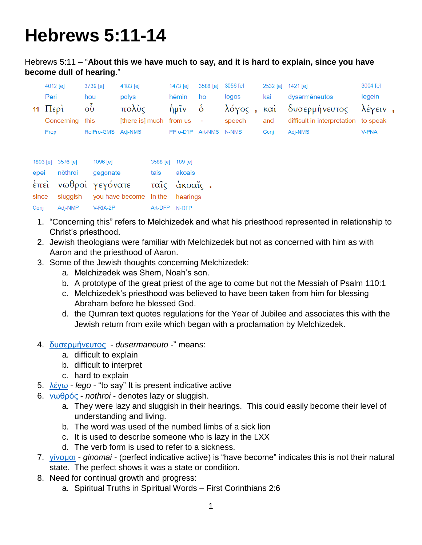## **Hebrews 5:11-14**

Hebrews 5:11 – "**About this we have much to say, and it is hard to explain, since you have become dull of hearing**."

| $4012$ [e] | 3739 [e]              | 4183 [e]        | 1473 [e]           |    |                                                    |                                             |               | $3004$ [e]        |                                                                          |
|------------|-----------------------|-----------------|--------------------|----|----------------------------------------------------|---------------------------------------------|---------------|-------------------|--------------------------------------------------------------------------|
| Peri       | hou                   | polys           | hēmin              | ho | logos                                              | kai                                         | dysermēneutos | legein            |                                                                          |
|            | $\tilde{\delta}$      | πολὺς           |                    |    |                                                    |                                             |               |                   |                                                                          |
|            |                       |                 |                    |    | speech                                             | and                                         |               |                   |                                                                          |
| Prep       |                       |                 |                    |    |                                                    | Coni                                        | Adi-NMS       | <b>V-PNA</b>      |                                                                          |
|            | $11 \quad \text{Περὶ$ | Concerning this | RelPro-GMS Adj-NMS |    | ήμῖν $\dot{\text{o}}$<br>[there is] much from us - | 3588 [e] 3056 [e]<br>PPro-D1P Art-NMS N-NMS |               | 2532 [e] 1421 [e] | λόγος, καὶ δυσερμήνευτος λέγειν,<br>difficult in interpretation to speak |

|      | 1893 [e] 3576 [e]     | 1096 [e]                                       | 3588 [e] 189 [e] |        |  |
|------|-----------------------|------------------------------------------------|------------------|--------|--|
|      | epei nōthroi gegonate |                                                | tais             | akoais |  |
|      |                       | έπεὶ νωθροὶ γεγόνατε - ταῖς ἀκοαῖς .           |                  |        |  |
|      |                       | since sluggish you have become in the hearings |                  |        |  |
| Conj | Adj-NMP               | V-RIA-2P                                       | Art-DFP N-DFP    |        |  |

- 1. "Concerning this" refers to Melchizedek and what his priesthood represented in relationship to Christ's priesthood.
- 2. Jewish theologians were familiar with Melchizedek but not as concerned with him as with Aaron and the priesthood of Aaron.
- 3. Some of the Jewish thoughts concerning Melchizedek:
	- a. Melchizedek was Shem, Noah's son.
	- b. A prototype of the great priest of the age to come but not the Messiah of Psalm 110:1
	- c. Melchizedek's priesthood was believed to have been taken from him for blessing Abraham before he blessed God.
	- d. the Qumran text quotes regulations for the Year of Jubilee and associates this with the Jewish return from exile which began with a proclamation by Melchizedek.
- 4. [δυσερμήνευτος](http://strongsnumbers.com/greek/1421.htm) *dusermaneuto -*" means:
	- a. difficult to explain
	- b. difficult to interpret
	- c. hard to explain
- 5. [λέγω](http://strongsnumbers.com/greek/3004.htm) *lego* "to say" It is present indicative active
- 6. [νωθρός](http://strongsnumbers.com/greek/3576.htm) *nothroi* denotes lazy or sluggish.
	- a. They were lazy and sluggish in their hearings. This could easily become their level of understanding and living.
	- b. The word was used of the numbed limbs of a sick lion
	- c. It is used to describe someone who is lazy in the LXX
	- d. The verb form is used to refer to a sickness.
- 7. [γίνομαι](http://strongsnumbers.com/greek/1096.htm) *ginomai* (perfect indicative active) is "have become" indicates this is not their natural state. The perfect shows it was a state or condition.
- 8. Need for continual growth and progress:
	- a. Spiritual Truths in Spiritual Words First Corinthians 2:6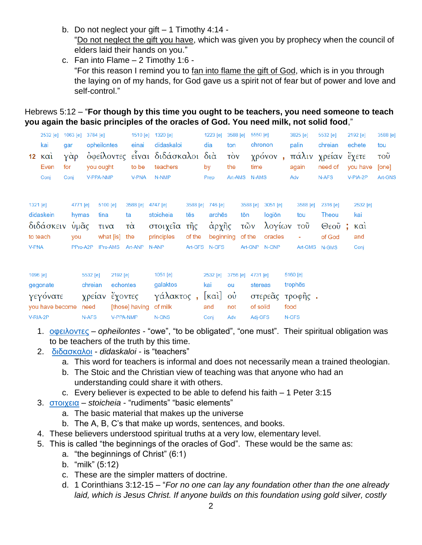- b. Do not neglect your gift 1 Timothy 4:14 "Do not neglect the gift you have, which was given you by prophecy when the council of elders laid their hands on you."
- c. Fan into Flame 2 Timothy 1:6 "For this reason I remind you to fan into flame the gift of God, which is in you through the laying on of my hands, for God gave us a spirit not of fear but of power and love and self-control."

## Hebrews 5:12 – "**For though by this time you ought to be teachers, you need someone to teach you again the basic principles of the oracles of God. You need milk, not solid food**,"

|              | 2532 [e]<br>kai<br>$12 \times \alpha i$<br>Even<br>Conj | 1063 [e]<br>gar<br>γάρ<br>for<br>Conj |                                              | 3784 [e]<br>you ought<br>V-PPA-NMP             | opheilontes                                       | 1510 [e]<br>einai<br>to be<br><b>V-PNA</b>         | 1320 [e]<br>didaskaloi<br>όφείλοντες είναι διδάσκαλοι διά<br>teachers<br>N-NMP |                           | 1223 [e]<br>dia<br>by<br>Prep                            | 3588 [e]<br>ton<br>$\overrightarrow{10V}$<br>the | time<br>Art-AMS N-AMS            | 5550 [e]<br>chronon<br>χρόνον,                           |               | 3825 [e]<br>palin<br>again<br>Adv      | 5532 [e]<br>chreian<br>πάλιν χρείαν έχετε<br>need of<br>N-AFS | 2192 [e]<br>echete<br>you have<br>V-PIA-2P                                         | 3588 [e]<br>tou<br>$\overline{\mathrm{TOU}}$<br>[one]<br>Art-GNS |
|--------------|---------------------------------------------------------|---------------------------------------|----------------------------------------------|------------------------------------------------|---------------------------------------------------|----------------------------------------------------|--------------------------------------------------------------------------------|---------------------------|----------------------------------------------------------|--------------------------------------------------|----------------------------------|----------------------------------------------------------|---------------|----------------------------------------|---------------------------------------------------------------|------------------------------------------------------------------------------------|------------------------------------------------------------------|
| <b>V-PNA</b> | 1321 [e]<br>didaskein<br>διδάσκειν<br>to teach          |                                       | 4771 [e]<br>hymas<br>ὑμᾶς<br>you<br>PPro-A2P |                                                | 5100 [e]<br>tina<br>τινα<br>what [is]<br>IPro-AMS | 3588 [e]<br>ta<br>$\vec{\alpha}$<br>the<br>Art-ANP | 4747 [e]<br>stoicheia<br>στοιχεῖα τῆς<br>principles<br>N-ANP                   | 3588 [e]<br>tēs<br>of the | 746 [e]<br>arches<br>άρχῆς<br>beginning<br>Art-GFS N-GFS |                                                  | 3588 [e]<br>tōn<br>τῶν<br>of the | 3051 [e]<br>logiōn<br>λογίων<br>oracles<br>Art-GNP N-GNP |               | 3588 [e]<br>tou<br>τοῦ<br>÷            | 2316 [e]<br>Theou<br>$\Theta$ εοῦ;<br>of God<br>Art-GMS N-GMS | 2532 [e]<br>kai<br>$\kappa$ $\alpha$ <sup><math>\alpha</math></sup><br>and<br>Conj |                                                                  |
| 1096 [e]     | gegonate<br>γεγόνατε<br>you have become<br>V-RIA-2P     |                                       |                                              | 5532 [e]<br>chreian<br>χρείαν<br>need<br>N-AFS | 2192 [e]<br>echontes<br>έχοντες<br>V-PPA-NMP      | [those] having                                     | 1051 [e]<br>galaktos<br>γάλακτος,<br>of milk<br>N-GNS                          |                           | 2532 [e]<br>kai<br>[καὶ] οὐ<br>and<br>Conj               | 3756 [e]<br>ou<br>not<br>Adv                     | 4731 [e]                         | stereas<br>of solid<br>Adj-GFS                           | food<br>N-GFS | 5160 [e]<br>trophes<br>στερεᾶς τροφῆς. |                                                               |                                                                                    |                                                                  |

- 1. [οφειλοντες](http://strongsnumbers.com/greek/3784.htm) *opheilontes* "owe", "to be obligated", "one must". Their spiritual obligation was to be teachers of the truth by this time.
- 2. [διδασκαλοι](http://strongsnumbers.com/greek/1320.htm) *didaskaloi* is "teachers"
	- a. This word for teachers is informal and does not necessarily mean a trained theologian.
	- b. The Stoic and the Christian view of teaching was that anyone who had an understanding could share it with others.
	- c. Every believer is expected to be able to defend his faith 1 Peter 3:15
- 3. [στοιχεια](http://strongsnumbers.com/greek/4747.htm) *stoicheia* "rudiments" "basic elements"
	- a. The basic material that makes up the universe
	- b. The A, B, C's that make up words, sentences, and books.
- 4. These believers understood spiritual truths at a very low, elementary level.
- 5. This is called "the beginnings of the oracles of God". These would be the same as:
	- a. "the beginnings of Christ" (6:1)
	- b. "milk" (5:12)
	- c. These are the simpler matters of doctrine.
	- d. 1 Corinthians 3:12-15 "*For no one can lay any foundation other than the one already laid, which is Jesus Christ. If anyone builds on this foundation using gold silver, costly*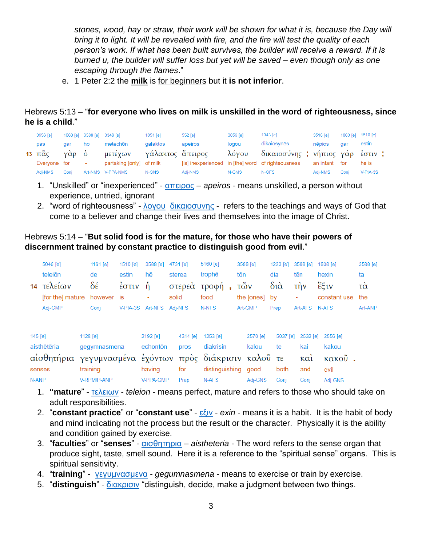*stones, wood, hay or straw, their work will be shown for what it is, because the Day will bring it to light. It will be revealed with fire, and the fire will test the quality of each person's work. If what has been built survives, the builder will receive a reward. If it is burned u, the builder will suffer loss but yet will be saved – even though only as one escaping through the flames*."

e. 1 Peter 2:2 the **milk** is for beginners but it **is not inferior**.

Hebrews 5:13 – "**for everyone who lives on milk is unskilled in the word of righteousness, since he is a child**."

| 3956 [e]     |      |        | 1063 [e] 3588 [e] 3348 [e]            | $1051$ [e] | 552 [e] | 3056 [e] | 1343 [e]                                          | 3516 [e]      | 1063 [e] 1510 [e] |            |
|--------------|------|--------|---------------------------------------|------------|---------|----------|---------------------------------------------------|---------------|-------------------|------------|
| pas          | aar  | ho     | metechōn                              | galaktos   | apeiros | logou    | dikaiosynēs                                       | nēpios        | aar               | estin      |
|              |      |        | 13 πᾶς γὰρ ὁ μετέχων γάλακτος ἄπειρος |            |         |          | λόγου δικαιοσύνης ; νήπιος γάρ έστιν ;            |               |                   |            |
| Everyone for |      | $\sim$ | partaking [only] of milk              |            |         |          | [is] inexperienced in [the] word of righteousness | an infant for |                   | he is      |
| Adi-NMS      | Coni |        | Art-NMS V-PPA-NMS                     | N-GNS      | Adi-NMS | N-GMS    | N-GFS                                             | Adi-NMS       | Coni              | $V-PIA-3S$ |

- 1. "Unskilled" or "inexperienced" [απειρος](http://strongsnumbers.com/greek/552.htm) *apeiros* means unskilled, a person without experience, untried, ignorant
- 2. "word of righteousness" [λογου](http://strongsnumbers.com/greek/3056.htm) [δικαιοσυνης](http://strongsnumbers.com/greek/1343.htm) refers to the teachings and ways of God that come to a believer and change their lives and themselves into the image of Christ.

## Hebrews 5:14 – "**But solid food is for the mature, for those who have their powers of discernment trained by constant practice to distinguish good from evil**."

|         | 5046 [e]<br>teleiōn                            | 1161 $[e]$<br>de         | 1510 [e]<br>estin | 3588 [e]<br>hē       |       | 4731 [e]<br>sterea | 5160 [e]<br>trophe                               | tōn | 3588 [e]          | $1223$ [e]<br>dia | 3588 [e]<br>tēn              | 1838 [e]<br>hexin           | 3588 [e]<br>ta |
|---------|------------------------------------------------|--------------------------|-------------------|----------------------|-------|--------------------|--------------------------------------------------|-----|-------------------|-------------------|------------------------------|-----------------------------|----------------|
| 14      | τελείων<br>[for the] mature                    | δέ<br>however is         | έστιν             | Ĥ                    | solid | στερεά             | τροφή<br>food                                    |     | τῶν<br>the [ones] | $\delta$ ιά<br>bv | $\overrightarrow{L}$         | έξιν<br>constant use        | τα<br>the      |
|         | Adj-GMP                                        | Coni                     | V-PIA-3S          | Art-NFS              |       | Adi-NFS            | N-NFS                                            |     | Art-GMP           | Prep              | Art-AFS                      | N-AFS                       | Art-ANP        |
| 145 [e] | aisthētēria<br>αίσθητήρια γεγυμνασμένα έχόντων | 1128 [e]<br>gegymnasmena |                   | 2192 [e]<br>echonton |       | 4314 [e]<br>pros   | 1253 [e]<br>diakrisin<br>πρὸς διάκρισιν καλοῦ τε |     | 2570 [e]<br>kalou | 5037 [e]<br>te    | 2532 [e]<br>kai<br>$K\alpha$ | 2556 [e]<br>kakou<br>κακοῦ. |                |
| N-ANP   | senses                                         | training<br>V-RPM/P-ANP  |                   | having<br>V-PPA-GMP  |       | for<br>Prep        | distinguishing<br>N-AFS                          |     | good<br>Adj-GNS   | both<br>Conj      | and<br>Conj                  | evil<br>Adj-GNS             |                |

- 1. **"mature**" [τελειων](http://strongsnumbers.com/greek/5046.htm) *teleion* means perfect, mature and refers to those who should take on adult responsibilities.
- 2. "**constant practice**" or "**constant use**" [εξιν](http://strongsnumbers.com/greek/1838.htm) *exin* means it is a habit. It is the habit of body and mind indicating not the process but the result or the character. Physically it is the ability and condition gained by exercise.
- 3. "**faculties**" or "**senses**" [αισθητηρια](http://strongsnumbers.com/greek/145.htm) *aistheteria* The word refers to the sense organ that produce sight, taste, smell sound. Here it is a reference to the "spiritual sense" organs. This is spiritual sensitivity.
- 4. "**training**" [γεγυμνασμενα](http://strongsnumbers.com/greek/1128.htm) *gegumnasmena* means to exercise or train by exercise.
- 5. "**distinguish**" [διακρισιν](http://strongsnumbers.com/greek/1253.htm) "distinguish, decide, make a judgment between two things.